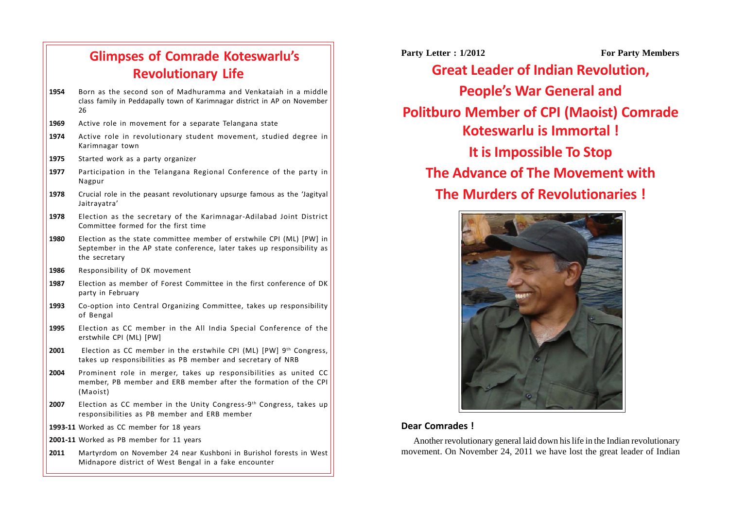# **Glimpses of Comrade Koteswarlu's Revolutionary Life**

- **1954** Born as the second son of Madhuramma and Venkataiah in a middle class family in Peddapally town of Karimnagar district in AP on November 26
- **1969** Active role in movement for a separate Telangana state
- **1974** Active role in revolutionary student movement, studied degree in Karimnagar town
- **1975** Started work as a party organizer
- **1977** Participation in the Telangana Regional Conference of the party in Nagpur
- **1978** Crucial role in the peasant revolutionary upsurge famous as the 'Jagityal Jaitrayatra'
- **1978** Election as the secretary of the Karimnagar-Adilabad Joint District Committee formed for the first time
- **1980** Election as the state committee member of erstwhile CPI (ML) [PW] in September in the AP state conference, later takes up responsibility as the secretary
- **1986** Responsibility of DK movement
- **1987** Election as member of Forest Committee in the first conference of DK party in February
- **1993** Co-option into Central Organizing Committee, takes up responsibility of Bengal
- **1995** Election as CC member in the All India Special Conference of the erstwhile CPI (ML) [PW]
- **2001** Election as CC member in the erstwhile CPI (ML) [PW] 9<sup>th</sup> Congress, takes up responsibilities as PB member and secretary of NRB
- **2004** Prominent role in merger, takes up responsibilities as united CC member, PB member and ERB member after the formation of the CPI (Maoist)
- **2007** Election as CC member in the Unity Congress-9th Congress, takes up responsibilities as PB member and ERB member
- **1993-11** Worked as CC member for 18 years
- **2001-11** Worked as PB member for 11 years
- **2011** Martyrdom on November 24 near Kushboni in Burishol forests in West Midnapore district of West Bengal in a fake encounter

Party Letter : 1/2012 **For Party Members Great Leader of Indian Revolution, People's War General and Politburo Member of CPI (Maoist) Comrade Koteswarlu is Immortal ! It is Impossible To Stop The Advance of The Movement with The Murders of Revolutionaries !**



#### **Dear Comrades !**

Another revolutionary general laid down his life in the Indian revolutionary movement. On November 24, 2011 we have lost the great leader of Indian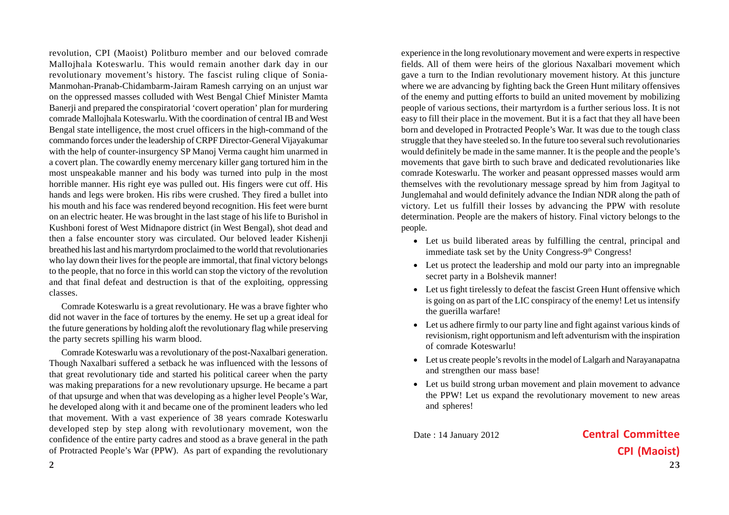revolution, CPI (Maoist) Politburo member and our beloved comrade Mallojhala Koteswarlu. This would remain another dark day in our revolutionary movement's history. The fascist ruling clique of Sonia-Manmohan-Pranab-Chidambarm-Jairam Ramesh carrying on an unjust war on the oppressed masses colluded with West Bengal Chief Minister Mamta Banerji and prepared the conspiratorial 'covert operation' plan for murdering comrade Mallojhala Koteswarlu. With the coordination of central IB and West Bengal state intelligence, the most cruel officers in the high-command of the commando forces under the leadership of CRPF Director-General Vijayakumar with the help of counter-insurgency SP Manoj Verma caught him unarmed in a covert plan. The cowardly enemy mercenary killer gang tortured him in the most unspeakable manner and his body was turned into pulp in the most horrible manner. His right eye was pulled out. His fingers were cut off. His hands and legs were broken. His ribs were crushed. They fired a bullet into his mouth and his face was rendered beyond recognition. His feet were burnt on an electric heater. He was brought in the last stage of his life to Burishol in Kushboni forest of West Midnapore district (in West Bengal), shot dead and then a false encounter story was circulated. Our beloved leader Kishenji breathed his last and his martyrdom proclaimed to the world that revolutionaries who lay down their lives for the people are immortal, that final victory belongs to the people, that no force in this world can stop the victory of the revolution and that final defeat and destruction is that of the exploiting, oppressing classes.

Comrade Koteswarlu is a great revolutionary. He was a brave fighter who did not waver in the face of tortures by the enemy. He set up a great ideal for the future generations by holding aloft the revolutionary flag while preserving the party secrets spilling his warm blood.

Comrade Koteswarlu was a revolutionary of the post-Naxalbari generation. Though Naxalbari suffered a setback he was influenced with the lessons of that great revolutionary tide and started his political career when the party was making preparations for a new revolutionary upsurge. He became a part of that upsurge and when that was developing as a higher level People's War, he developed along with it and became one of the prominent leaders who led that movement. With a vast experience of 38 years comrade Koteswarlu developed step by step along with revolutionary movement, won the confidence of the entire party cadres and stood as a brave general in the path of Protracted People's War (PPW). As part of expanding the revolutionary experience in the long revolutionary movement and were experts in respective fields. All of them were heirs of the glorious Naxalbari movement which gave a turn to the Indian revolutionary movement history. At this juncture where we are advancing by fighting back the Green Hunt military offensives of the enemy and putting efforts to build an united movement by mobilizing people of various sections, their martyrdom is a further serious loss. It is not easy to fill their place in the movement. But it is a fact that they all have been born and developed in Protracted People's War. It was due to the tough class struggle that they have steeled so. In the future too several such revolutionaries would definitely be made in the same manner. It is the people and the people's movements that gave birth to such brave and dedicated revolutionaries like comrade Koteswarlu. The worker and peasant oppressed masses would arm themselves with the revolutionary message spread by him from Jagityal to Junglemahal and would definitely advance the Indian NDR along the path of victory. Let us fulfill their losses by advancing the PPW with resolute determination. People are the makers of history. Final victory belongs to the people.

- Let us build liberated areas by fulfilling the central, principal and immediate task set by the Unity Congress-9<sup>th</sup> Congress!
- Let us protect the leadership and mold our party into an impregnable secret party in a Bolshevik manner!
- Let us fight tirelessly to defeat the fascist Green Hunt offensive which is going on as part of the LIC conspiracy of the enemy! Let us intensify the guerilla warfare!
- Let us adhere firmly to our party line and fight against various kinds of revisionism, right opportunism and left adventurism with the inspiration of comrade Koteswarlu!
- Let us create people's revolts in the model of Lalgarh and Narayanapatna and strengthen our mass base!
- Let us build strong urban movement and plain movement to advance the PPW! Let us expand the revolutionary movement to new areas and spheres!

### **23** Date : 14 January 2012 **Central Committee CPI (Maoist)**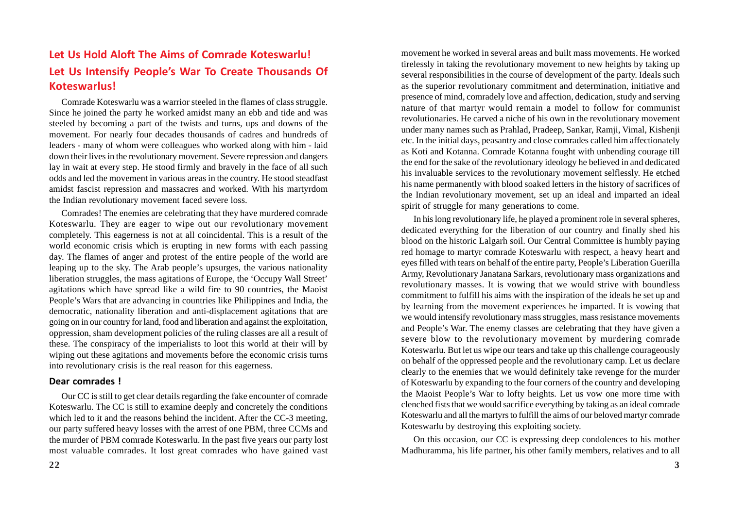## **Let Us Hold Aloft The Aims of Comrade Koteswarlu! Let Us Intensify People's War To Create Thousands Of Koteswarlus!**

Comrade Koteswarlu was a warrior steeled in the flames of class struggle. Since he joined the party he worked amidst many an ebb and tide and was steeled by becoming a part of the twists and turns, ups and downs of the movement. For nearly four decades thousands of cadres and hundreds of leaders - many of whom were colleagues who worked along with him - laid down their lives in the revolutionary movement. Severe repression and dangers lay in wait at every step. He stood firmly and bravely in the face of all such odds and led the movement in various areas in the country. He stood steadfast amidst fascist repression and massacres and worked. With his martyrdom the Indian revolutionary movement faced severe loss.

Comrades! The enemies are celebrating that they have murdered comrade Koteswarlu. They are eager to wipe out our revolutionary movement completely. This eagerness is not at all coincidental. This is a result of the world economic crisis which is erupting in new forms with each passing day. The flames of anger and protest of the entire people of the world are leaping up to the sky. The Arab people's upsurges, the various nationality liberation struggles, the mass agitations of Europe, the 'Occupy Wall Street' agitations which have spread like a wild fire to 90 countries, the Maoist People's Wars that are advancing in countries like Philippines and India, the democratic, nationality liberation and anti-displacement agitations that are going on in our country for land, food and liberation and against the exploitation, oppression, sham development policies of the ruling classes are all a result of these. The conspiracy of the imperialists to loot this world at their will by wiping out these agitations and movements before the economic crisis turns into revolutionary crisis is the real reason for this eagerness.

#### **Dear comrades !**

Our CC is still to get clear details regarding the fake encounter of comrade Koteswarlu. The CC is still to examine deeply and concretely the conditions which led to it and the reasons behind the incident. After the CC-3 meeting, our party suffered heavy losses with the arrest of one PBM, three CCMs and the murder of PBM comrade Koteswarlu. In the past five years our party lost most valuable comrades. It lost great comrades who have gained vast movement he worked in several areas and built mass movements. He worked tirelessly in taking the revolutionary movement to new heights by taking up several responsibilities in the course of development of the party. Ideals such as the superior revolutionary commitment and determination, initiative and presence of mind, comradely love and affection, dedication, study and serving nature of that martyr would remain a model to follow for communist revolutionaries. He carved a niche of his own in the revolutionary movement under many names such as Prahlad, Pradeep, Sankar, Ramji, Vimal, Kishenji etc. In the initial days, peasantry and close comrades called him affectionately as Koti and Kotanna. Comrade Kotanna fought with unbending courage till the end for the sake of the revolutionary ideology he believed in and dedicated his invaluable services to the revolutionary movement selflessly. He etched his name permanently with blood soaked letters in the history of sacrifices of the Indian revolutionary movement, set up an ideal and imparted an ideal spirit of struggle for many generations to come.

In his long revolutionary life, he played a prominent role in several spheres, dedicated everything for the liberation of our country and finally shed his blood on the historic Lalgarh soil. Our Central Committee is humbly paying red homage to martyr comrade Koteswarlu with respect, a heavy heart and eyes filled with tears on behalf of the entire party, People's Liberation Guerilla Army, Revolutionary Janatana Sarkars, revolutionary mass organizations and revolutionary masses. It is vowing that we would strive with boundless commitment to fulfill his aims with the inspiration of the ideals he set up and by learning from the movement experiences he imparted. It is vowing that we would intensify revolutionary mass struggles, mass resistance movements and People's War. The enemy classes are celebrating that they have given a severe blow to the revolutionary movement by murdering comrade Koteswarlu. But let us wipe our tears and take up this challenge courageously on behalf of the oppressed people and the revolutionary camp. Let us declare clearly to the enemies that we would definitely take revenge for the murder of Koteswarlu by expanding to the four corners of the country and developing the Maoist People's War to lofty heights. Let us vow one more time with clenched fists that we would sacrifice everything by taking as an ideal comrade Koteswarlu and all the martyrs to fulfill the aims of our beloved martyr comrade Koteswarlu by destroying this exploiting society.

On this occasion, our CC is expressing deep condolences to his mother Madhuramma, his life partner, his other family members, relatives and to all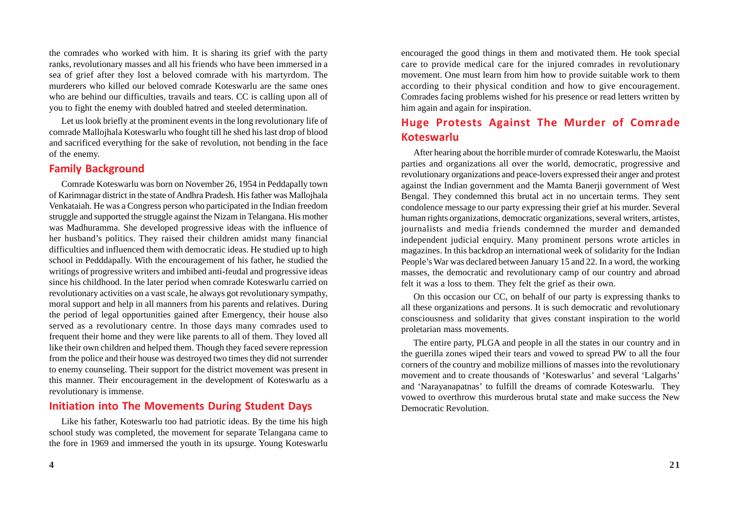the comrades who worked with him. It is sharing its grief with the party ranks, revolutionary masses and all his friends who have been immersed in a sea of grief after they lost a beloved comrade with his martyrdom. The murderers who killed our beloved comrade Koteswarlu are the same ones who are behind our difficulties, travails and tears. CC is calling upon all of you to fight the enemy with doubled hatred and steeled determination.

Let us look briefly at the prominent events in the long revolutionary life of comrade Mallojhala Koteswarlu who fought till he shed his last drop of blood and sacrificed everything for the sake of revolution, not bending in the face of the enemy.

#### **Family Background**

Comrade Koteswarlu was born on November 26, 1954 in Peddapally town of Karimnagar district in the state of Andhra Pradesh. His father was Mallojhala Venkataiah. He was a Congress person who participated in the Indian freedom struggle and supported the struggle against the Nizam in Telangana. His mother was Madhuramma. She developed progressive ideas with the influence of her husband's politics. They raised their children amidst many financial difficulties and influenced them with democratic ideas. He studied up to high school in Pedddapally. With the encouragement of his father, he studied the writings of progressive writers and imbibed anti-feudal and progressive ideas since his childhood. In the later period when comrade Koteswarlu carried on revolutionary activities on a vast scale, he always got revolutionary sympathy, moral support and help in all manners from his parents and relatives. During the period of legal opportunities gained after Emergency, their house also served as a revolutionary centre. In those days many comrades used to frequent their home and they were like parents to all of them. They loved all like their own children and helped them. Though they faced severe repression from the police and their house was destroyed two times they did not surrender to enemy counseling. Their support for the district movement was present in this manner. Their encouragement in the development of Koteswarlu as a revolutionary is immense.

### **Initiation into The Movements During Student Days**

Like his father, Koteswarlu too had patriotic ideas. By the time his high school study was completed, the movement for separate Telangana came to the fore in 1969 and immersed the youth in its upsurge. Young Koteswarlu

encouraged the good things in them and motivated them. He took special care to provide medical care for the injured comrades in revolutionary movement. One must learn from him how to provide suitable work to them according to their physical condition and how to give encouragement. Comrades facing problems wished for his presence or read letters written by him again and again for inspiration.

### **Huge Protests Against The Murder of Comrade Koteswarlu**

After hearing about the horrible murder of comrade Koteswarlu, the Maoist parties and organizations all over the world, democratic, progressive and revolutionary organizations and peace-lovers expressed their anger and protest against the Indian government and the Mamta Banerii government of West Bengal. They condemned this brutal act in no uncertain terms. They sent condolence message to our party expressing their grief at his murder. Several human rights organizations, democratic organizations, several writers, artistes, journalists and media friends condemned the murder and demanded independent judicial enquiry. Many prominent persons wrote articles in magazines. In this backdrop an international week of solidarity for the Indian People's War was declared between January 15 and 22. In a word, the working masses, the democratic and revolutionary camp of our country and abroad felt it was a loss to them. They felt the grief as their own.

On this occasion our CC, on behalf of our party is expressing thanks to all these organizations and persons. It is such democratic and revolutionary consciousness and solidarity that gives constant inspiration to the world proletarian mass movements.

The entire party, PLGA and people in all the states in our country and in the guerilla zones wiped their tears and vowed to spread PW to all the four corners of the country and mobilize millions of masses into the revolutionary movement and to create thousands of 'Koteswarlus' and several 'Lalgarhs' and 'Narayanapatnas' to fulfill the dreams of comrade Koteswarlu. They vowed to overthrow this murderous brutal state and make success the New Democratic Revolution.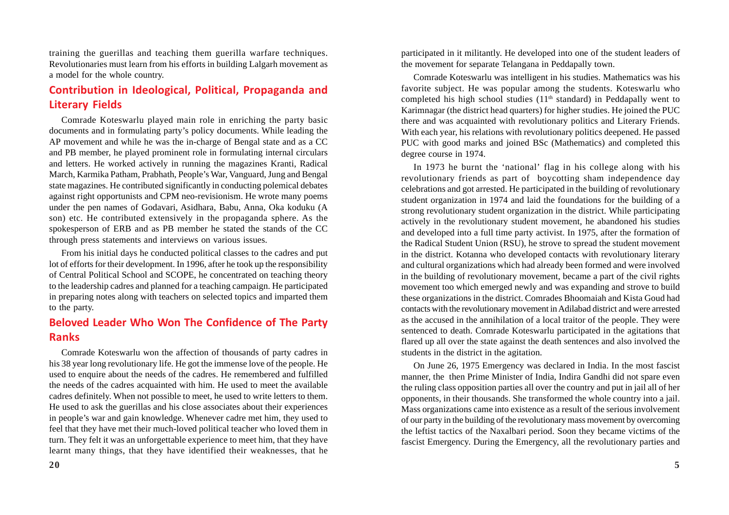training the guerillas and teaching them guerilla warfare techniques. Revolutionaries must learn from his efforts in building Lalgarh movement as a model for the whole country.

### **Contribution in Ideological, Political, Propaganda and Literary Fields**

Comrade Koteswarlu played main role in enriching the party basic documents and in formulating party's policy documents. While leading the AP movement and while he was the in-charge of Bengal state and as a CC and PB member, he played prominent role in formulating internal circulars and letters. He worked actively in running the magazines Kranti, Radical March, Karmika Patham, Prabhath, People's War, Vanguard, Jung and Bengal state magazines. He contributed significantly in conducting polemical debates against right opportunists and CPM neo-revisionism. He wrote many poems under the pen names of Godavari, Asidhara, Babu, Anna, Oka koduku (A son) etc. He contributed extensively in the propaganda sphere. As the spokesperson of ERB and as PB member he stated the stands of the CC through press statements and interviews on various issues.

From his initial days he conducted political classes to the cadres and put lot of efforts for their development. In 1996, after he took up the responsibility of Central Political School and SCOPE, he concentrated on teaching theory to the leadership cadres and planned for a teaching campaign. He participated in preparing notes along with teachers on selected topics and imparted them to the party.

### **Beloved Leader Who Won The Confidence of The Party Ranks**

Comrade Koteswarlu won the affection of thousands of party cadres in his 38 year long revolutionary life. He got the immense love of the people. He used to enquire about the needs of the cadres. He remembered and fulfilled the needs of the cadres acquainted with him. He used to meet the available cadres definitely. When not possible to meet, he used to write letters to them. He used to ask the guerillas and his close associates about their experiences in people's war and gain knowledge. Whenever cadre met him, they used to feel that they have met their much-loved political teacher who loved them in turn. They felt it was an unforgettable experience to meet him, that they have learnt many things, that they have identified their weaknesses, that he participated in it militantly. He developed into one of the student leaders of the movement for separate Telangana in Peddapally town.

Comrade Koteswarlu was intelligent in his studies. Mathematics was his favorite subject. He was popular among the students. Koteswarlu who completed his high school studies  $(11<sup>th</sup>$  standard) in Peddapally went to Karimnagar (the district head quarters) for higher studies. He joined the PUC there and was acquainted with revolutionary politics and Literary Friends. With each year, his relations with revolutionary politics deepened. He passed PUC with good marks and joined BSc (Mathematics) and completed this degree course in 1974.

In 1973 he burnt the 'national' flag in his college along with his revolutionary friends as part of boycotting sham independence day celebrations and got arrested. He participated in the building of revolutionary student organization in 1974 and laid the foundations for the building of a strong revolutionary student organization in the district. While participating actively in the revolutionary student movement, he abandoned his studies and developed into a full time party activist. In 1975, after the formation of the Radical Student Union (RSU), he strove to spread the student movement in the district. Kotanna who developed contacts with revolutionary literary and cultural organizations which had already been formed and were involved in the building of revolutionary movement, became a part of the civil rights movement too which emerged newly and was expanding and strove to build these organizations in the district. Comrades Bhoomaiah and Kista Goud had contacts with the revolutionary movement in Adilabad district and were arrested as the accused in the annihilation of a local traitor of the people. They were sentenced to death. Comrade Koteswarlu participated in the agitations that flared up all over the state against the death sentences and also involved the students in the district in the agitation.

On June 26, 1975 Emergency was declared in India. In the most fascist manner, the then Prime Minister of India, Indira Gandhi did not spare even the ruling class opposition parties all over the country and put in jail all of her opponents, in their thousands. She transformed the whole country into a jail. Mass organizations came into existence as a result of the serious involvement of our party in the building of the revolutionary mass movement by overcoming the leftist tactics of the Naxalbari period. Soon they became victims of the fascist Emergency. During the Emergency, all the revolutionary parties and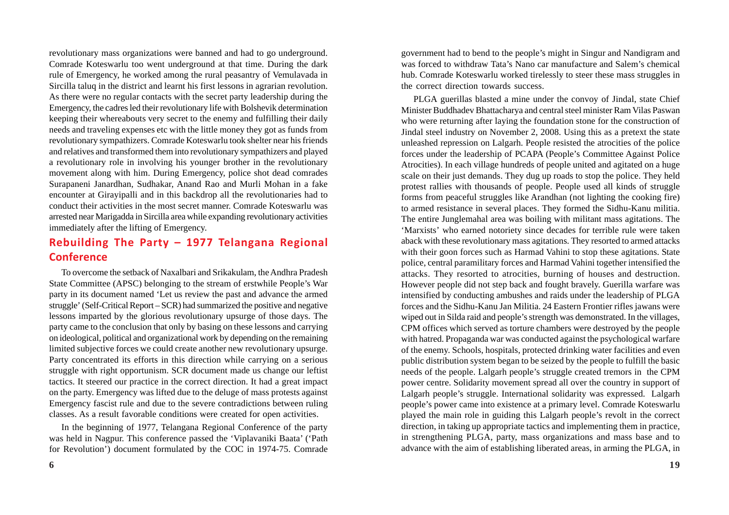revolutionary mass organizations were banned and had to go underground. Comrade Koteswarlu too went underground at that time. During the dark rule of Emergency, he worked among the rural peasantry of Vemulavada in Sircilla taluq in the district and learnt his first lessons in agrarian revolution. As there were no regular contacts with the secret party leadership during the Emergency, the cadres led their revolutionary life with Bolshevik determination keeping their whereabouts very secret to the enemy and fulfilling their daily needs and traveling expenses etc with the little money they got as funds from revolutionary sympathizers. Comrade Koteswarlu took shelter near his friends and relatives and transformed them into revolutionary sympathizers and played a revolutionary role in involving his younger brother in the revolutionary movement along with him. During Emergency, police shot dead comrades Surapaneni Janardhan, Sudhakar, Anand Rao and Murli Mohan in a fake encounter at Girayipalli and in this backdrop all the revolutionaries had to conduct their activities in the most secret manner. Comrade Koteswarlu was arrested near Marigadda in Sircilla area while expanding revolutionary activities immediately after the lifting of Emergency.

### **Rebuilding The Party – 1977 Telangana Regional Conference**

To overcome the setback of Naxalbari and Srikakulam, the Andhra Pradesh State Committee (APSC) belonging to the stream of erstwhile People's War party in its document named 'Let us review the past and advance the armed struggle' (Self-Critical Report – SCR) had summarized the positive and negative lessons imparted by the glorious revolutionary upsurge of those days. The party came to the conclusion that only by basing on these lessons and carrying on ideological, political and organizational work by depending on the remaining limited subjective forces we could create another new revolutionary upsurge. Party concentrated its efforts in this direction while carrying on a serious struggle with right opportunism. SCR document made us change our leftist tactics. It steered our practice in the correct direction. It had a great impact on the party. Emergency was lifted due to the deluge of mass protests against Emergency fascist rule and due to the severe contradictions between ruling classes. As a result favorable conditions were created for open activities.

In the beginning of 1977, Telangana Regional Conference of the party was held in Nagpur. This conference passed the 'Viplavaniki Baata' ('Path for Revolution') document formulated by the COC in 1974-75. Comrade government had to bend to the people's might in Singur and Nandigram and was forced to withdraw Tata's Nano car manufacture and Salem's chemical hub. Comrade Koteswarlu worked tirelessly to steer these mass struggles in the correct direction towards success.

PLGA guerillas blasted a mine under the convoy of Jindal, state Chief Minister Buddhadev Bhattacharya and central steel minister Ram Vilas Paswan who were returning after laying the foundation stone for the construction of Jindal steel industry on November 2, 2008. Using this as a pretext the state unleashed repression on Lalgarh. People resisted the atrocities of the police forces under the leadership of PCAPA (People's Committee Against Police Atrocities). In each village hundreds of people united and agitated on a huge scale on their just demands. They dug up roads to stop the police. They held protest rallies with thousands of people. People used all kinds of struggle forms from peaceful struggles like Arandhan (not lighting the cooking fire) to armed resistance in several places. They formed the Sidhu-Kanu militia. The entire Junglemahal area was boiling with militant mass agitations. The 'Marxists' who earned notoriety since decades for terrible rule were taken aback with these revolutionary mass agitations. They resorted to armed attacks with their goon forces such as Harmad Vahini to stop these agitations. State police, central paramilitary forces and Harmad Vahini together intensified the attacks. They resorted to atrocities, burning of houses and destruction. However people did not step back and fought bravely. Guerilla warfare was intensified by conducting ambushes and raids under the leadership of PLGA forces and the Sidhu-Kanu Jan Militia. 24 Eastern Frontier rifles jawans were wiped out in Silda raid and people's strength was demonstrated. In the villages, CPM offices which served as torture chambers were destroyed by the people with hatred. Propaganda war was conducted against the psychological warfare of the enemy. Schools, hospitals, protected drinking water facilities and even public distribution system began to be seized by the people to fulfill the basic needs of the people. Lalgarh people's struggle created tremors in the CPM power centre. Solidarity movement spread all over the country in support of Lalgarh people's struggle. International solidarity was expressed. Lalgarh people's power came into existence at a primary level. Comrade Koteswarlu played the main role in guiding this Lalgarh people's revolt in the correct direction, in taking up appropriate tactics and implementing them in practice, in strengthening PLGA, party, mass organizations and mass base and to advance with the aim of establishing liberated areas, in arming the PLGA, in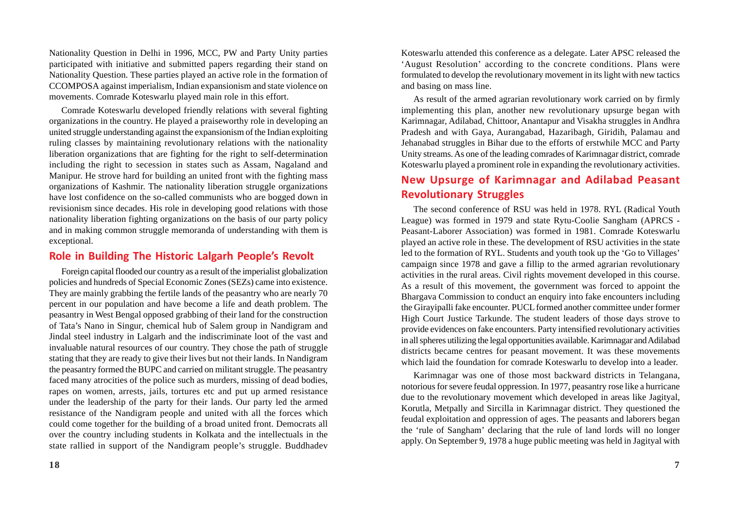Nationality Question in Delhi in 1996, MCC, PW and Party Unity parties participated with initiative and submitted papers regarding their stand on Nationality Question. These parties played an active role in the formation of CCOMPOSA against imperialism, Indian expansionism and state violence on movements. Comrade Koteswarlu played main role in this effort.

Comrade Koteswarlu developed friendly relations with several fighting organizations in the country. He played a praiseworthy role in developing an united struggle understanding against the expansionism of the Indian exploiting ruling classes by maintaining revolutionary relations with the nationality liberation organizations that are fighting for the right to self-determination including the right to secession in states such as Assam, Nagaland and Manipur. He strove hard for building an united front with the fighting mass organizations of Kashmir. The nationality liberation struggle organizations have lost confidence on the so-called communists who are bogged down in revisionism since decades. His role in developing good relations with those nationality liberation fighting organizations on the basis of our party policy and in making common struggle memoranda of understanding with them is exceptional.

#### **Role in Building The Historic Lalgarh People's Revolt**

Foreign capital flooded our country as a result of the imperialist globalization policies and hundreds of Special Economic Zones (SEZs) came into existence. They are mainly grabbing the fertile lands of the peasantry who are nearly 70 percent in our population and have become a life and death problem. The peasantry in West Bengal opposed grabbing of their land for the construction of Tata's Nano in Singur, chemical hub of Salem group in Nandigram and Jindal steel industry in Lalgarh and the indiscriminate loot of the vast and invaluable natural resources of our country. They chose the path of struggle stating that they are ready to give their lives but not their lands. In Nandigram the peasantry formed the BUPC and carried on militant struggle. The peasantry faced many atrocities of the police such as murders, missing of dead bodies, rapes on women, arrests, jails, tortures etc and put up armed resistance under the leadership of the party for their lands. Our party led the armed resistance of the Nandigram people and united with all the forces which could come together for the building of a broad united front. Democrats all over the country including students in Kolkata and the intellectuals in the state rallied in support of the Nandigram people's struggle. Buddhadev

Koteswarlu attended this conference as a delegate. Later APSC released the 'August Resolution' according to the concrete conditions. Plans were formulated to develop the revolutionary movement in its light with new tactics and basing on mass line.

As result of the armed agrarian revolutionary work carried on by firmly implementing this plan, another new revolutionary upsurge began with Karimnagar, Adilabad, Chittoor, Anantapur and Visakha struggles in Andhra Pradesh and with Gaya, Aurangabad, Hazaribagh, Giridih, Palamau and Jehanabad struggles in Bihar due to the efforts of erstwhile MCC and Party Unity streams. As one of the leading comrades of Karimnagar district, comrade Koteswarlu played a prominent role in expanding the revolutionary activities.

### **New Upsurge of Karimnagar and Adilabad Peasant Revolutionary Struggles**

The second conference of RSU was held in 1978. RYL (Radical Youth League) was formed in 1979 and state Rytu-Coolie Sangham (APRCS - Peasant-Laborer Association) was formed in 1981. Comrade Koteswarlu played an active role in these. The development of RSU activities in the state led to the formation of RYL. Students and youth took up the 'Go to Villages' campaign since 1978 and gave a fillip to the armed agrarian revolutionary activities in the rural areas. Civil rights movement developed in this course. As a result of this movement, the government was forced to appoint the Bhargava Commission to conduct an enquiry into fake encounters including the Girayipalli fake encounter. PUCL formed another committee under former High Court Justice Tarkunde. The student leaders of those days strove to provide evidences on fake encounters. Party intensified revolutionary activities in all spheres utilizing the legal opportunities available. Karimnagar and Adilabad districts became centres for peasant movement. It was these movements which laid the foundation for comrade Koteswarlu to develop into a leader.

Karimnagar was one of those most backward districts in Telangana, notorious for severe feudal oppression. In 1977, peasantry rose like a hurricane due to the revolutionary movement which developed in areas like Jagityal, Korutla, Metpally and Sircilla in Karimnagar district. They questioned the feudal exploitation and oppression of ages. The peasants and laborers began the 'rule of Sangham' declaring that the rule of land lords will no longer apply. On September 9, 1978 a huge public meeting was held in Jagityal with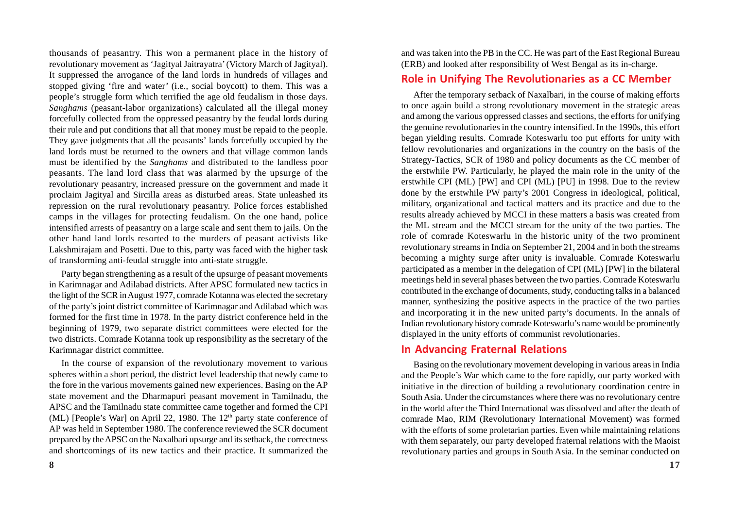thousands of peasantry. This won a permanent place in the history of revolutionary movement as 'Jagityal Jaitrayatra' (Victory March of Jagityal). It suppressed the arrogance of the land lords in hundreds of villages and stopped giving 'fire and water' (i.e., social boycott) to them. This was a people's struggle form which terrified the age old feudalism in those days. *Sanghams* (peasant-labor organizations) calculated all the illegal money forcefully collected from the oppressed peasantry by the feudal lords during their rule and put conditions that all that money must be repaid to the people. They gave judgments that all the peasants' lands forcefully occupied by the land lords must be returned to the owners and that village common lands must be identified by the *Sanghams* and distributed to the landless poor peasants. The land lord class that was alarmed by the upsurge of the revolutionary peasantry, increased pressure on the government and made it proclaim Jagityal and Sircilla areas as disturbed areas. State unleashed its repression on the rural revolutionary peasantry. Police forces established camps in the villages for protecting feudalism. On the one hand, police intensified arrests of peasantry on a large scale and sent them to jails. On the other hand land lords resorted to the murders of peasant activists like Lakshmirajam and Posetti. Due to this, party was faced with the higher task of transforming anti-feudal struggle into anti-state struggle.

Party began strengthening as a result of the upsurge of peasant movements in Karimnagar and Adilabad districts. After APSC formulated new tactics in the light of the SCR in August 1977, comrade Kotanna was elected the secretary of the party's joint district committee of Karimnagar and Adilabad which was formed for the first time in 1978. In the party district conference held in the beginning of 1979, two separate district committees were elected for the two districts. Comrade Kotanna took up responsibility as the secretary of the Karimnagar district committee.

In the course of expansion of the revolutionary movement to various spheres within a short period, the district level leadership that newly came to the fore in the various movements gained new experiences. Basing on the AP state movement and the Dharmapuri peasant movement in Tamilnadu, the APSC and the Tamilnadu state committee came together and formed the CPI (ML) [People's War] on April 22, 1980. The  $12<sup>th</sup>$  party state conference of AP was held in September 1980. The conference reviewed the SCR document prepared by the APSC on the Naxalbari upsurge and its setback, the correctness and shortcomings of its new tactics and their practice. It summarized the

and was taken into the PB in the CC. He was part of the East Regional Bureau (ERB) and looked after responsibility of West Bengal as its in-charge.

#### **Role in Unifying The Revolutionaries as a CC Member**

After the temporary setback of Naxalbari, in the course of making efforts to once again build a strong revolutionary movement in the strategic areas and among the various oppressed classes and sections, the efforts for unifying the genuine revolutionaries in the country intensified. In the 1990s, this effort began yielding results. Comrade Koteswarlu too put efforts for unity with fellow revolutionaries and organizations in the country on the basis of the Strategy-Tactics, SCR of 1980 and policy documents as the CC member of the erstwhile PW. Particularly, he played the main role in the unity of the erstwhile CPI (ML) [PW] and CPI (ML) [PU] in 1998. Due to the review done by the erstwhile PW party's 2001 Congress in ideological, political, military, organizational and tactical matters and its practice and due to the results already achieved by MCCI in these matters a basis was created from the ML stream and the MCCI stream for the unity of the two parties. The role of comrade Koteswarlu in the historic unity of the two prominent revolutionary streams in India on September 21, 2004 and in both the streams becoming a mighty surge after unity is invaluable. Comrade Koteswarlu participated as a member in the delegation of CPI (ML) [PW] in the bilateral meetings held in several phases between the two parties. Comrade Koteswarlu contributed in the exchange of documents, study, conducting talks in a balanced manner, synthesizing the positive aspects in the practice of the two parties and incorporating it in the new united party's documents. In the annals of Indian revolutionary history comrade Koteswarlu's name would be prominently displayed in the unity efforts of communist revolutionaries.

#### **In Advancing Fraternal Relations**

Basing on the revolutionary movement developing in various areas in India and the People's War which came to the fore rapidly, our party worked with initiative in the direction of building a revolutionary coordination centre in South Asia. Under the circumstances where there was no revolutionary centre in the world after the Third International was dissolved and after the death of comrade Mao, RIM (Revolutionary International Movement) was formed with the efforts of some proletarian parties. Even while maintaining relations with them separately, our party developed fraternal relations with the Maoist revolutionary parties and groups in South Asia. In the seminar conducted on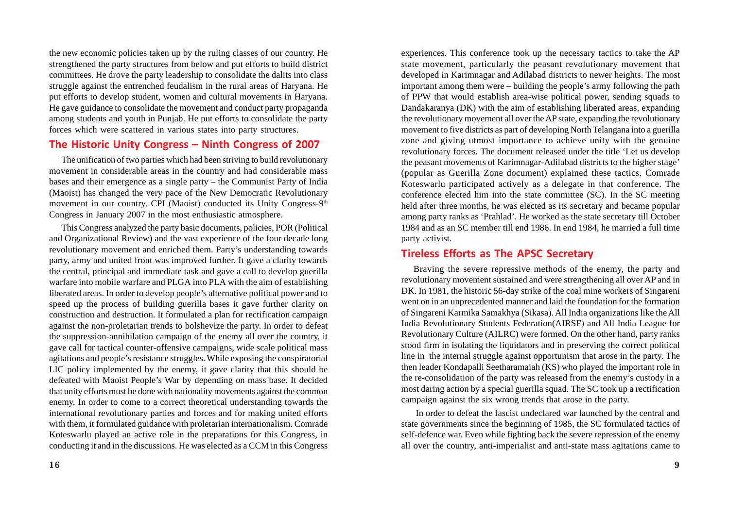the new economic policies taken up by the ruling classes of our country. He strengthened the party structures from below and put efforts to build district committees. He drove the party leadership to consolidate the dalits into class struggle against the entrenched feudalism in the rural areas of Haryana. He put efforts to develop student, women and cultural movements in Haryana. He gave guidance to consolidate the movement and conduct party propaganda among students and youth in Punjab. He put efforts to consolidate the party forces which were scattered in various states into party structures.

#### **The Historic Unity Congress – Ninth Congress of 2007**

The unification of two parties which had been striving to build revolutionary movement in considerable areas in the country and had considerable mass bases and their emergence as a single party – the Communist Party of India (Maoist) has changed the very pace of the New Democratic Revolutionary movement in our country. CPI (Maoist) conducted its Unity Congress-9<sup>th</sup> Congress in January 2007 in the most enthusiastic atmosphere.

This Congress analyzed the party basic documents, policies, POR (Political and Organizational Review) and the vast experience of the four decade long revolutionary movement and enriched them. Party's understanding towards party, army and united front was improved further. It gave a clarity towards the central, principal and immediate task and gave a call to develop guerilla warfare into mobile warfare and PLGA into PLA with the aim of establishing liberated areas. In order to develop people's alternative political power and to speed up the process of building guerilla bases it gave further clarity on construction and destruction. It formulated a plan for rectification campaign against the non-proletarian trends to bolshevize the party. In order to defeat the suppression-annihilation campaign of the enemy all over the country, it gave call for tactical counter-offensive campaigns, wide scale political mass agitations and people's resistance struggles. While exposing the conspiratorial LIC policy implemented by the enemy, it gave clarity that this should be defeated with Maoist People's War by depending on mass base. It decided that unity efforts must be done with nationality movements against the common enemy. In order to come to a correct theoretical understanding towards the international revolutionary parties and forces and for making united efforts with them, it formulated guidance with proletarian internationalism. Comrade Koteswarlu played an active role in the preparations for this Congress, in conducting it and in the discussions. He was elected as a CCM in this Congress

experiences. This conference took up the necessary tactics to take the AP state movement, particularly the peasant revolutionary movement that developed in Karimnagar and Adilabad districts to newer heights. The most important among them were – building the people's army following the path of PPW that would establish area-wise political power, sending squads to Dandakaranya (DK) with the aim of establishing liberated areas, expanding the revolutionary movement all over the AP state, expanding the revolutionary movement to five districts as part of developing North Telangana into a guerilla zone and giving utmost importance to achieve unity with the genuine revolutionary forces. The document released under the title 'Let us develop the peasant movements of Karimnagar-Adilabad districts to the higher stage' (popular as Guerilla Zone document) explained these tactics. Comrade Koteswarlu participated actively as a delegate in that conference. The conference elected him into the state committee (SC). In the SC meeting held after three months, he was elected as its secretary and became popular among party ranks as 'Prahlad'. He worked as the state secretary till October 1984 and as an SC member till end 1986. In end 1984, he married a full time party activist.

#### **Tireless Efforts as The APSC Secretary**

Braving the severe repressive methods of the enemy, the party and revolutionary movement sustained and were strengthening all over AP and in DK. In 1981, the historic 56-day strike of the coal mine workers of Singareni went on in an unprecedented manner and laid the foundation for the formation of Singareni Karmika Samakhya (Sikasa). All India organizations like the All India Revolutionary Students Federation(AIRSF) and All India League for Revolutionary Culture (AILRC) were formed. On the other hand, party ranks stood firm in isolating the liquidators and in preserving the correct political line in the internal struggle against opportunism that arose in the party. The then leader Kondapalli Seetharamaiah (KS) who played the important role in the re-consolidation of the party was released from the enemy's custody in a most daring action by a special guerilla squad. The SC took up a rectification campaign against the six wrong trends that arose in the party.

 In order to defeat the fascist undeclared war launched by the central and state governments since the beginning of 1985, the SC formulated tactics of self-defence war. Even while fighting back the severe repression of the enemy all over the country, anti-imperialist and anti-state mass agitations came to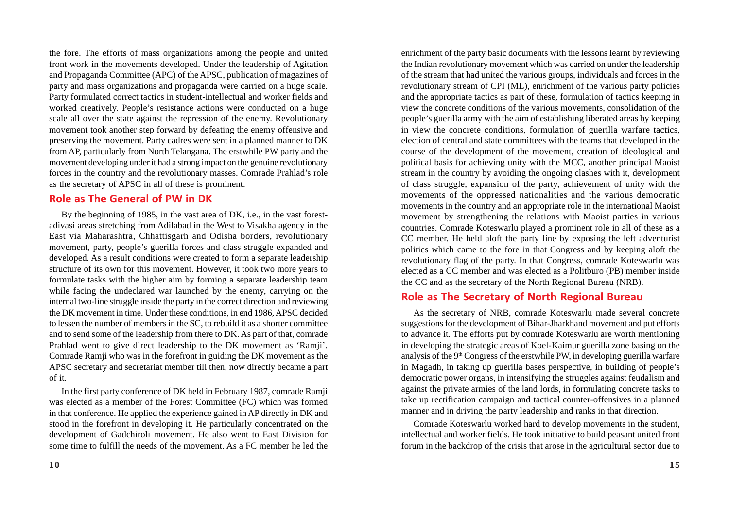the fore. The efforts of mass organizations among the people and united front work in the movements developed. Under the leadership of Agitation and Propaganda Committee (APC) of the APSC, publication of magazines of party and mass organizations and propaganda were carried on a huge scale. Party formulated correct tactics in student-intellectual and worker fields and worked creatively. People's resistance actions were conducted on a huge scale all over the state against the repression of the enemy. Revolutionary movement took another step forward by defeating the enemy offensive and preserving the movement. Party cadres were sent in a planned manner to DK from AP, particularly from North Telangana. The erstwhile PW party and the movement developing under it had a strong impact on the genuine revolutionary forces in the country and the revolutionary masses. Comrade Prahlad's role as the secretary of APSC in all of these is prominent.

#### **Role as The General of PW in DK**

By the beginning of 1985, in the vast area of DK, i.e., in the vast forestadivasi areas stretching from Adilabad in the West to Visakha agency in the East via Maharashtra, Chhattisgarh and Odisha borders, revolutionary movement, party, people's guerilla forces and class struggle expanded and developed. As a result conditions were created to form a separate leadership structure of its own for this movement. However, it took two more years to formulate tasks with the higher aim by forming a separate leadership team while facing the undeclared war launched by the enemy, carrying on the internal two-line struggle inside the party in the correct direction and reviewing the DK movement in time. Under these conditions, in end 1986, APSC decided to lessen the number of members in the SC, to rebuild it as a shorter committee and to send some of the leadership from there to DK. As part of that, comrade Prahlad went to give direct leadership to the DK movement as 'Ramji'. Comrade Ramji who was in the forefront in guiding the DK movement as the APSC secretary and secretariat member till then, now directly became a part of it.

In the first party conference of DK held in February 1987, comrade Ramji was elected as a member of the Forest Committee (FC) which was formed in that conference. He applied the experience gained in AP directly in DK and stood in the forefront in developing it. He particularly concentrated on the development of Gadchiroli movement. He also went to East Division for some time to fulfill the needs of the movement. As a FC member he led the

enrichment of the party basic documents with the lessons learnt by reviewing the Indian revolutionary movement which was carried on under the leadership of the stream that had united the various groups, individuals and forces in the revolutionary stream of CPI (ML), enrichment of the various party policies and the appropriate tactics as part of these, formulation of tactics keeping in view the concrete conditions of the various movements, consolidation of the people's guerilla army with the aim of establishing liberated areas by keeping in view the concrete conditions, formulation of guerilla warfare tactics, election of central and state committees with the teams that developed in the course of the development of the movement, creation of ideological and political basis for achieving unity with the MCC, another principal Maoist stream in the country by avoiding the ongoing clashes with it, development of class struggle, expansion of the party, achievement of unity with the movements of the oppressed nationalities and the various democratic movements in the country and an appropriate role in the international Maoist movement by strengthening the relations with Maoist parties in various countries. Comrade Koteswarlu played a prominent role in all of these as a CC member. He held aloft the party line by exposing the left adventurist politics which came to the fore in that Congress and by keeping aloft the revolutionary flag of the party. In that Congress, comrade Koteswarlu was elected as a CC member and was elected as a Politburo (PB) member inside the CC and as the secretary of the North Regional Bureau (NRB).

#### **Role as The Secretary of North Regional Bureau**

As the secretary of NRB, comrade Koteswarlu made several concrete suggestions for the development of Bihar-Jharkhand movement and put efforts to advance it. The efforts put by comrade Koteswarlu are worth mentioning in developing the strategic areas of Koel-Kaimur guerilla zone basing on the analysis of the  $9<sup>th</sup>$  Congress of the erstwhile PW, in developing guerilla warfare in Magadh, in taking up guerilla bases perspective, in building of people's democratic power organs, in intensifying the struggles against feudalism and against the private armies of the land lords, in formulating concrete tasks to take up rectification campaign and tactical counter-offensives in a planned manner and in driving the party leadership and ranks in that direction.

Comrade Koteswarlu worked hard to develop movements in the student, intellectual and worker fields. He took initiative to build peasant united front forum in the backdrop of the crisis that arose in the agricultural sector due to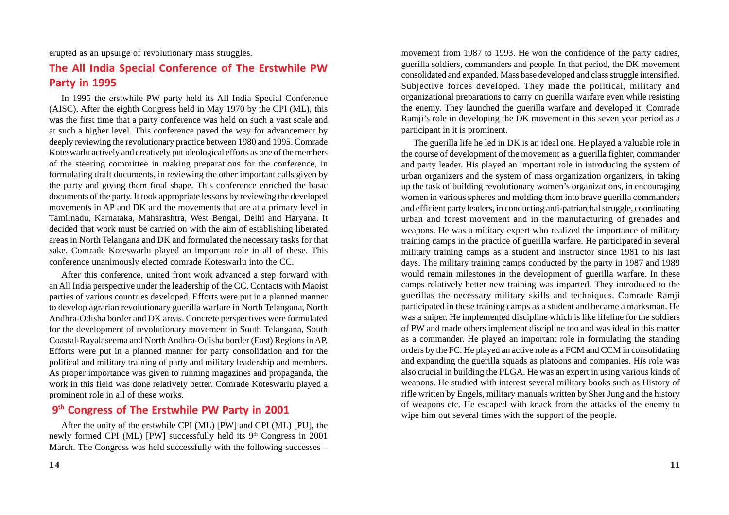### **The All India Special Conference of The Erstwhile PW Party in 1995**

In 1995 the erstwhile PW party held its All India Special Conference (AISC). After the eighth Congress held in May 1970 by the CPI (ML), this was the first time that a party conference was held on such a vast scale and at such a higher level. This conference paved the way for advancement by deeply reviewing the revolutionary practice between 1980 and 1995. Comrade Koteswarlu actively and creatively put ideological efforts as one of the members of the steering committee in making preparations for the conference, in formulating draft documents, in reviewing the other important calls given by the party and giving them final shape. This conference enriched the basic documents of the party. It took appropriate lessons by reviewing the developed movements in AP and DK and the movements that are at a primary level in Tamilnadu, Karnataka, Maharashtra, West Bengal, Delhi and Haryana. It decided that work must be carried on with the aim of establishing liberated areas in North Telangana and DK and formulated the necessary tasks for that sake. Comrade Koteswarlu played an important role in all of these. This conference unanimously elected comrade Koteswarlu into the CC.

After this conference, united front work advanced a step forward with an All India perspective under the leadership of the CC. Contacts with Maoist parties of various countries developed. Efforts were put in a planned manner to develop agrarian revolutionary guerilla warfare in North Telangana, North Andhra-Odisha border and DK areas. Concrete perspectives were formulated for the development of revolutionary movement in South Telangana, South Coastal-Rayalaseema and North Andhra-Odisha border (East) Regions in AP. Efforts were put in a planned manner for party consolidation and for the political and military training of party and military leadership and members. As proper importance was given to running magazines and propaganda, the work in this field was done relatively better. Comrade Koteswarlu played a prominent role in all of these works.

#### **9th Congress of The Erstwhile PW Party in 2001**

After the unity of the erstwhile CPI (ML) [PW] and CPI (ML) [PU], the newly formed CPI (ML) [PW] successfully held its  $9<sup>th</sup>$  Congress in 2001 March. The Congress was held successfully with the following successes –

movement from 1987 to 1993. He won the confidence of the party cadres, guerilla soldiers, commanders and people. In that period, the DK movement consolidated and expanded. Mass base developed and class struggle intensified. Subjective forces developed. They made the political, military and organizational preparations to carry on guerilla warfare even while resisting the enemy. They launched the guerilla warfare and developed it. Comrade Ramji's role in developing the DK movement in this seven year period as a participant in it is prominent.

The guerilla life he led in DK is an ideal one. He played a valuable role in the course of development of the movement as a guerilla fighter, commander and party leader. His played an important role in introducing the system of urban organizers and the system of mass organization organizers, in taking up the task of building revolutionary women's organizations, in encouraging women in various spheres and molding them into brave guerilla commanders and efficient party leaders, in conducting anti-patriarchal struggle, coordinating urban and forest movement and in the manufacturing of grenades and weapons. He was a military expert who realized the importance of military training camps in the practice of guerilla warfare. He participated in several military training camps as a student and instructor since 1981 to his last days. The military training camps conducted by the party in 1987 and 1989 would remain milestones in the development of guerilla warfare. In these camps relatively better new training was imparted. They introduced to the guerillas the necessary military skills and techniques. Comrade Ramji participated in these training camps as a student and became a marksman. He was a sniper. He implemented discipline which is like lifeline for the soldiers of PW and made others implement discipline too and was ideal in this matter as a commander. He played an important role in formulating the standing orders by the FC. He played an active role as a FCM and CCM in consolidating and expanding the guerilla squads as platoons and companies. His role was also crucial in building the PLGA. He was an expert in using various kinds of weapons. He studied with interest several military books such as History of rifle written by Engels, military manuals written by Sher Jung and the history of weapons etc. He escaped with knack from the attacks of the enemy to wipe him out several times with the support of the people.